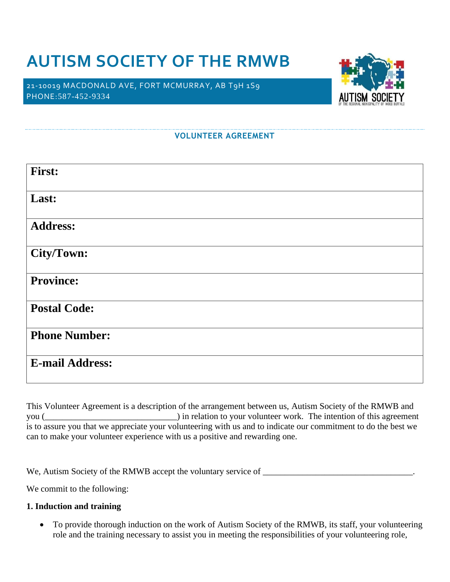# **AUTISM SOCIETY OF THE RMWB**

21-10019 MACDONALD AVE, FORT MCMURRAY, AB T9H 1S9 PHONE:587-452-9334



#### **VOLUNTEER AGREEMENT**

| <b>First:</b>          |
|------------------------|
| Last:                  |
| <b>Address:</b>        |
| City/Town:             |
| <b>Province:</b>       |
| <b>Postal Code:</b>    |
| <b>Phone Number:</b>   |
| <b>E-mail Address:</b> |

This Volunteer Agreement is a description of the arrangement between us, Autism Society of the RMWB and you (*\_\_\_\_\_\_\_\_\_\_\_\_\_\_\_\_\_\_\_\_\_\_\_\_\_\_\_\_\_\_*) in relation to your volunteer work. The intention of this agreement is to assure you that we appreciate your volunteering with us and to indicate our commitment to do the best we can to make your volunteer experience with us a positive and rewarding one.

We, Autism Society of the RMWB accept the voluntary service of \_\_\_\_\_\_\_\_\_\_\_\_\_\_\_\_\_\_\_\_\_\_\_\_\_\_\_\_\_\_\_\_\_\_.

We commit to the following:

#### **1. Induction and training**

• To provide thorough induction on the work of Autism Society of the RMWB, its staff, your volunteering role and the training necessary to assist you in meeting the responsibilities of your volunteering role,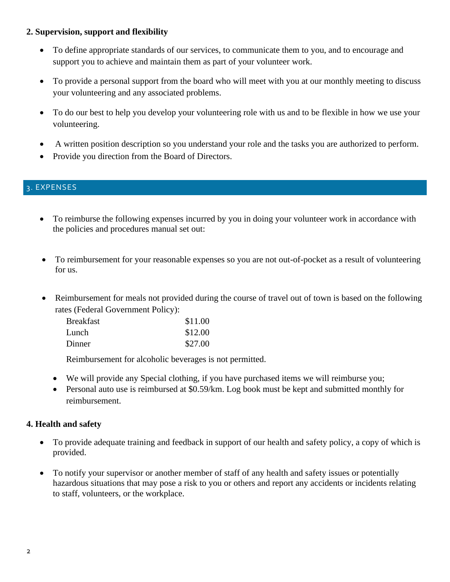# **2. Supervision, support and flexibility**

- To define appropriate standards of our services, to communicate them to you, and to encourage and support you to achieve and maintain them as part of your volunteer work.
- To provide a personal support from the board who will meet with you at our monthly meeting to discuss your volunteering and any associated problems.
- To do our best to help you develop your volunteering role with us and to be flexible in how we use your volunteering.
- A written position description so you understand your role and the tasks you are authorized to perform.
- Provide you direction from the Board of Directors.

# 3. EXPENSES

- To reimburse the following expenses incurred by you in doing your volunteer work in accordance with the policies and procedures manual set out:
- To reimbursement for your reasonable expenses so you are not out-of-pocket as a result of volunteering for us.
- Reimbursement for meals not provided during the course of travel out of town is based on the following rates (Federal Government Policy):

| <b>Breakfast</b> | \$11.00 |
|------------------|---------|
| Lunch            | \$12.00 |
| Dinner           | \$27.00 |

Reimbursement for alcoholic beverages is not permitted.

- We will provide any Special clothing, if you have purchased items we will reimburse you;
- Personal auto use is reimbursed at \$0.59/km. Log book must be kept and submitted monthly for reimbursement.

# **4. Health and safety**

- To provide adequate training and feedback in support of our health and safety policy, a copy of which is provided.
- To notify your supervisor or another member of staff of any health and safety issues or potentially hazardous situations that may pose a risk to you or others and report any accidents or incidents relating to staff, volunteers, or the workplace.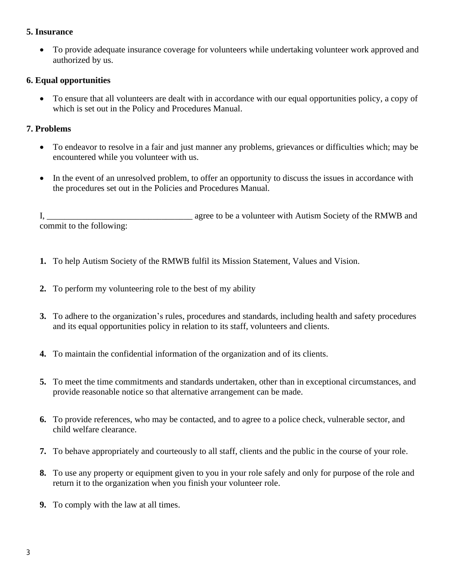### **5. Insurance**

• To provide adequate insurance coverage for volunteers while undertaking volunteer work approved and authorized by us.

# **6. Equal opportunities**

• To ensure that all volunteers are dealt with in accordance with our equal opportunities policy, a copy of which is set out in the Policy and Procedures Manual.

### **7. Problems**

- To endeavor to resolve in a fair and just manner any problems, grievances or difficulties which; may be encountered while you volunteer with us.
- In the event of an unresolved problem, to offer an opportunity to discuss the issues in accordance with the procedures set out in the Policies and Procedures Manual.

I, agree to be a volunteer with Autism Society of the RMWB and commit to the following:

- **1.** To help Autism Society of the RMWB fulfil its Mission Statement, Values and Vision.
- **2.** To perform my volunteering role to the best of my ability
- **3.** To adhere to the organization's rules, procedures and standards, including health and safety procedures and its equal opportunities policy in relation to its staff, volunteers and clients.
- **4.** To maintain the confidential information of the organization and of its clients.
- **5.** To meet the time commitments and standards undertaken, other than in exceptional circumstances, and provide reasonable notice so that alternative arrangement can be made.
- **6.** To provide references, who may be contacted, and to agree to a police check, vulnerable sector, and child welfare clearance.
- **7.** To behave appropriately and courteously to all staff, clients and the public in the course of your role.
- **8.** To use any property or equipment given to you in your role safely and only for purpose of the role and return it to the organization when you finish your volunteer role.
- **9.** To comply with the law at all times.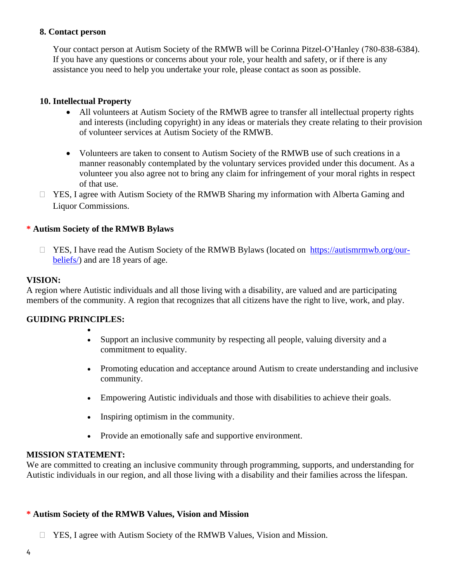### **8. Contact person**

Your contact person at Autism Society of the RMWB will be Corinna Pitzel-O'Hanley (780-838-6384). If you have any questions or concerns about your role, your health and safety, or if there is any assistance you need to help you undertake your role, please contact as soon as possible.

#### **10. Intellectual Property**

- All volunteers at Autism Society of the RMWB agree to transfer all intellectual property rights and interests (including copyright) in any ideas or materials they create relating to their provision of volunteer services at Autism Society of the RMWB.
- Volunteers are taken to consent to Autism Society of the RMWB use of such creations in a manner reasonably contemplated by the voluntary services provided under this document. As a volunteer you also agree not to bring any claim for infringement of your moral rights in respect of that use.
- $\Box$  YES, I agree with Autism Society of the RMWB Sharing my information with Alberta Gaming and Liquor Commissions.

#### **\* Autism Society of the RMWB Bylaws**

 $\Box$  YES, I have read the Autism Society of the RMWB Bylaws (located on [https://autismrmwb.org/our](https://autismrmwb.org/our-beliefs/)[beliefs/\)](https://autismrmwb.org/our-beliefs/) and are 18 years of age.

#### **VISION:**

A region where Autistic individuals and all those living with a disability, are valued and are participating members of the community. A region that recognizes that all citizens have the right to live, work, and play.

#### **GUIDING PRINCIPLES:**

•

- Support an inclusive community by respecting all people, valuing diversity and a commitment to equality.
- Promoting education and acceptance around Autism to create understanding and inclusive community.
- Empowering Autistic individuals and those with disabilities to achieve their goals.
- Inspiring optimism in the community.
- Provide an emotionally safe and supportive environment.

#### **MISSION STATEMENT:**

We are committed to creating an inclusive community through programming, supports, and understanding for Autistic individuals in our region, and all those living with a disability and their families across the lifespan.

#### **\* Autism Society of the RMWB Values, Vision and Mission**

YES, I agree with Autism Society of the RMWB Values, Vision and Mission.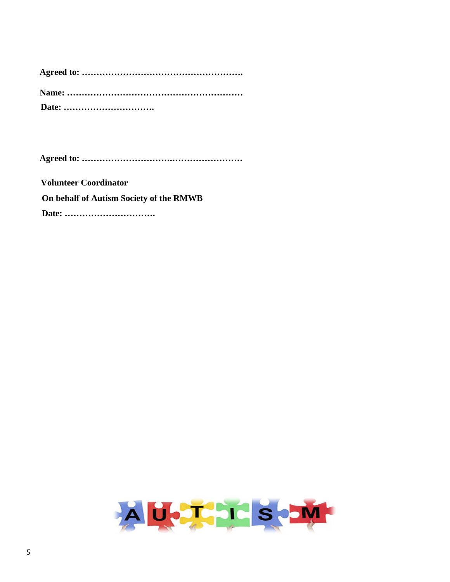**Agreed to: ………………………….……………………**

 **Volunteer Coordinator On behalf of Autism Society of the RMWB Date: ………………………….**